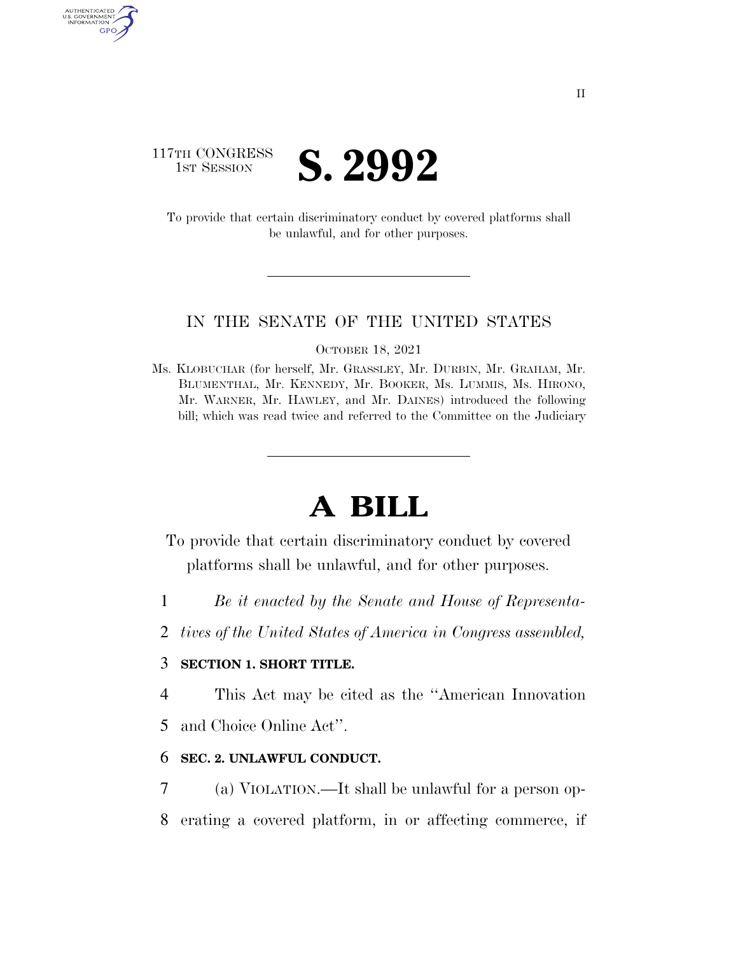

AUTHENTICATED U.S. GOVERNMENT GPO

> To provide that certain discriminatory conduct by covered platforms shall be unlawful, and for other purposes.

#### IN THE SENATE OF THE UNITED STATES

OCTOBER 18, 2021

Ms. KLOBUCHAR (for herself, Mr. GRASSLEY, Mr. DURBIN, Mr. GRAHAM, Mr. BLUMENTHAL, Mr. KENNEDY, Mr. BOOKER, Ms. LUMMIS, Ms. HIRONO, Mr. WARNER, Mr. HAWLEY, and Mr. DAINES) introduced the following bill; which was read twice and referred to the Committee on the Judiciary

# **A BILL**

To provide that certain discriminatory conduct by covered platforms shall be unlawful, and for other purposes.

- 1 *Be it enacted by the Senate and House of Representa-*
- 2 *tives of the United States of America in Congress assembled,*

#### 3 **SECTION 1. SHORT TITLE.**

4 This Act may be cited as the ''American Innovation

5 and Choice Online Act''.

## 6 **SEC. 2. UNLAWFUL CONDUCT.**

7 (a) VIOLATION.—It shall be unlawful for a person op-8 erating a covered platform, in or affecting commerce, if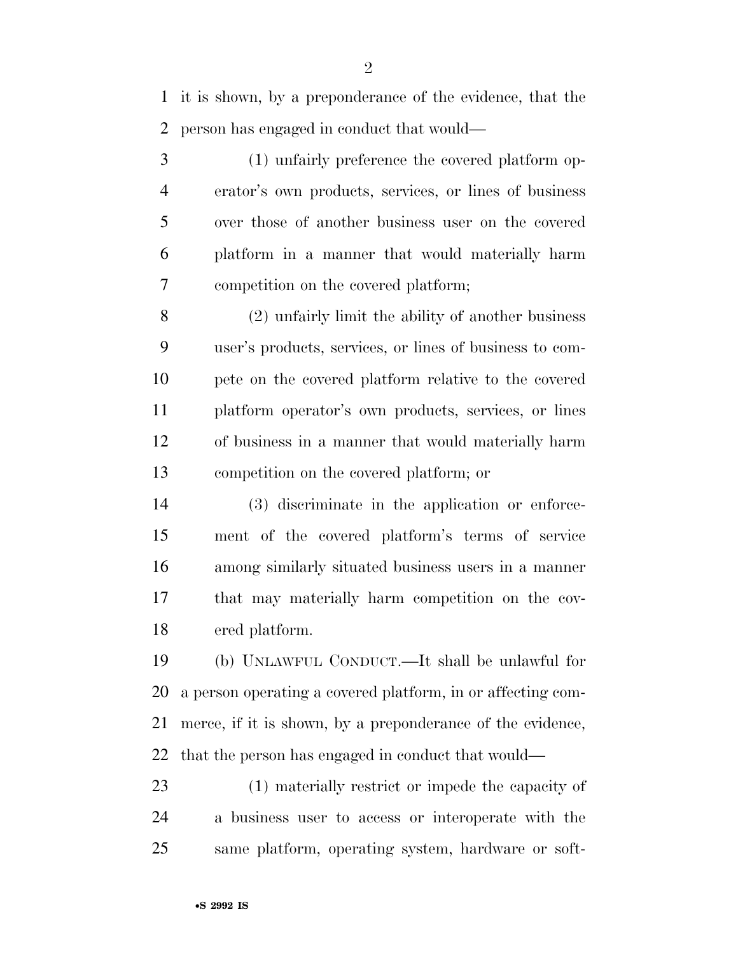it is shown, by a preponderance of the evidence, that the person has engaged in conduct that would—

 (1) unfairly preference the covered platform op- erator's own products, services, or lines of business over those of another business user on the covered platform in a manner that would materially harm competition on the covered platform;

 (2) unfairly limit the ability of another business user's products, services, or lines of business to com- pete on the covered platform relative to the covered platform operator's own products, services, or lines of business in a manner that would materially harm competition on the covered platform; or

 (3) discriminate in the application or enforce- ment of the covered platform's terms of service among similarly situated business users in a manner that may materially harm competition on the cov-ered platform.

 (b) UNLAWFUL CONDUCT.—It shall be unlawful for a person operating a covered platform, in or affecting com- merce, if it is shown, by a preponderance of the evidence, that the person has engaged in conduct that would—

 (1) materially restrict or impede the capacity of a business user to access or interoperate with the same platform, operating system, hardware or soft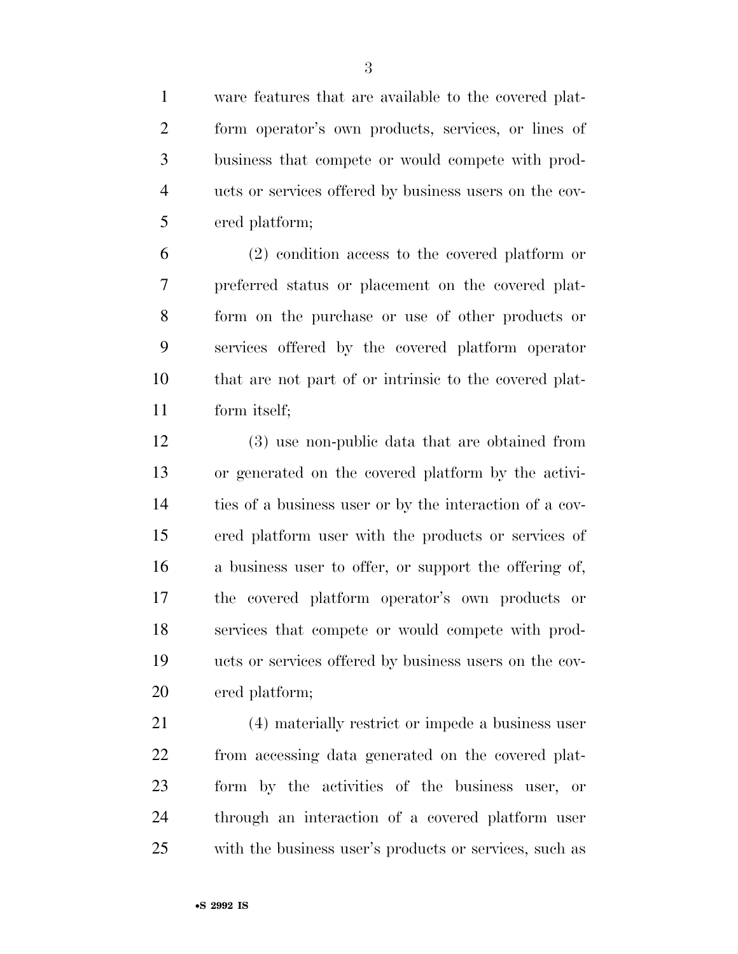ware features that are available to the covered plat- form operator's own products, services, or lines of business that compete or would compete with prod- ucts or services offered by business users on the cov-ered platform;

 (2) condition access to the covered platform or preferred status or placement on the covered plat- form on the purchase or use of other products or services offered by the covered platform operator that are not part of or intrinsic to the covered plat-form itself;

 (3) use non-public data that are obtained from or generated on the covered platform by the activi- ties of a business user or by the interaction of a cov- ered platform user with the products or services of a business user to offer, or support the offering of, the covered platform operator's own products or services that compete or would compete with prod- ucts or services offered by business users on the cov-ered platform;

 (4) materially restrict or impede a business user from accessing data generated on the covered plat- form by the activities of the business user, or through an interaction of a covered platform user with the business user's products or services, such as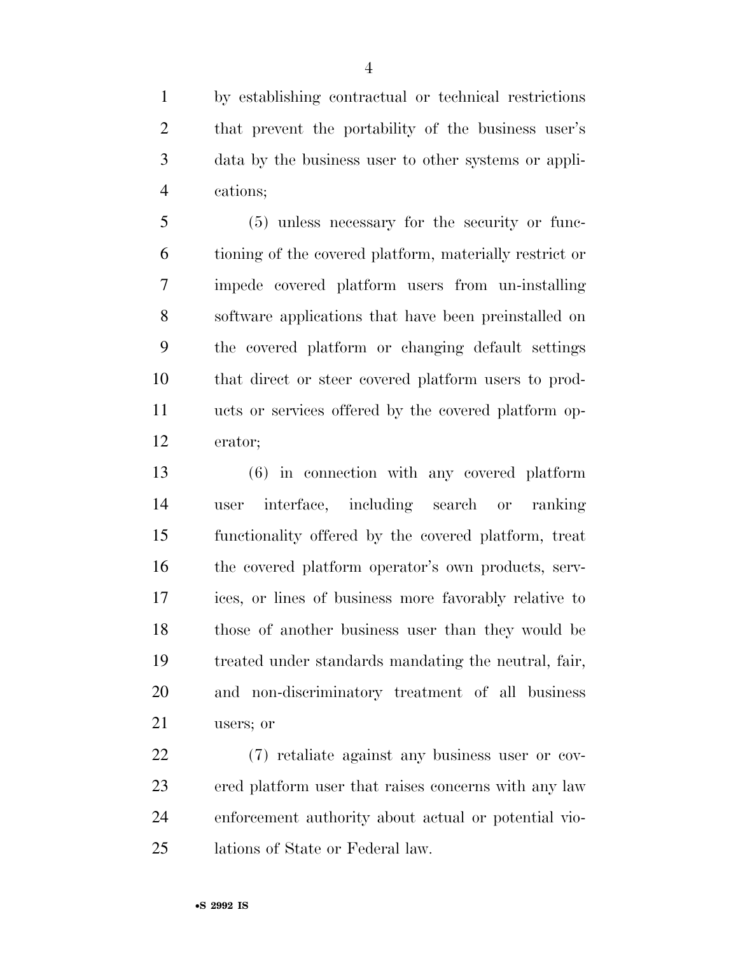by establishing contractual or technical restrictions that prevent the portability of the business user's data by the business user to other systems or appli-cations;

 (5) unless necessary for the security or func- tioning of the covered platform, materially restrict or impede covered platform users from un-installing software applications that have been preinstalled on the covered platform or changing default settings that direct or steer covered platform users to prod- ucts or services offered by the covered platform op-erator;

 (6) in connection with any covered platform user interface, including search or ranking functionality offered by the covered platform, treat the covered platform operator's own products, serv- ices, or lines of business more favorably relative to those of another business user than they would be treated under standards mandating the neutral, fair, and non-discriminatory treatment of all business users; or

 (7) retaliate against any business user or cov- ered platform user that raises concerns with any law enforcement authority about actual or potential vio-lations of State or Federal law.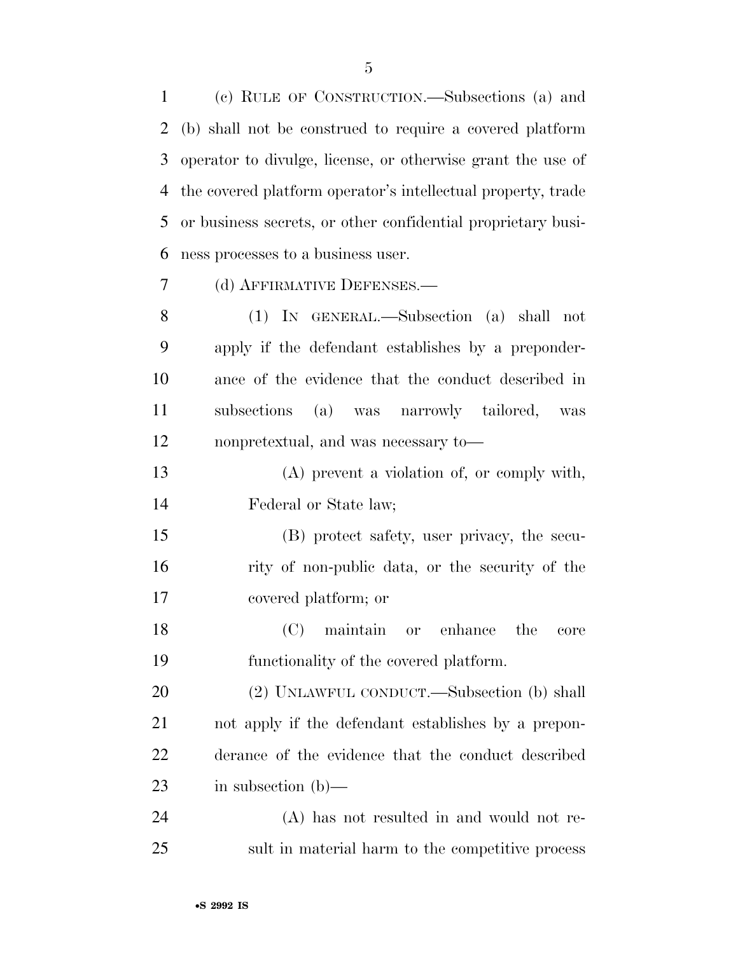(c) RULE OF CONSTRUCTION.—Subsections (a) and (b) shall not be construed to require a covered platform operator to divulge, license, or otherwise grant the use of the covered platform operator's intellectual property, trade or business secrets, or other confidential proprietary busi-ness processes to a business user.

(d) AFFIRMATIVE DEFENSES.—

 (1) IN GENERAL.—Subsection (a) shall not apply if the defendant establishes by a preponder- ance of the evidence that the conduct described in subsections (a) was narrowly tailored, was nonpretextual, and was necessary to—

 (A) prevent a violation of, or comply with, Federal or State law;

 (B) protect safety, user privacy, the secu- rity of non-public data, or the security of the covered platform; or

 (C) maintain or enhance the core functionality of the covered platform.

 (2) UNLAWFUL CONDUCT.—Subsection (b) shall not apply if the defendant establishes by a prepon- derance of the evidence that the conduct described in subsection (b)—

 (A) has not resulted in and would not re-sult in material harm to the competitive process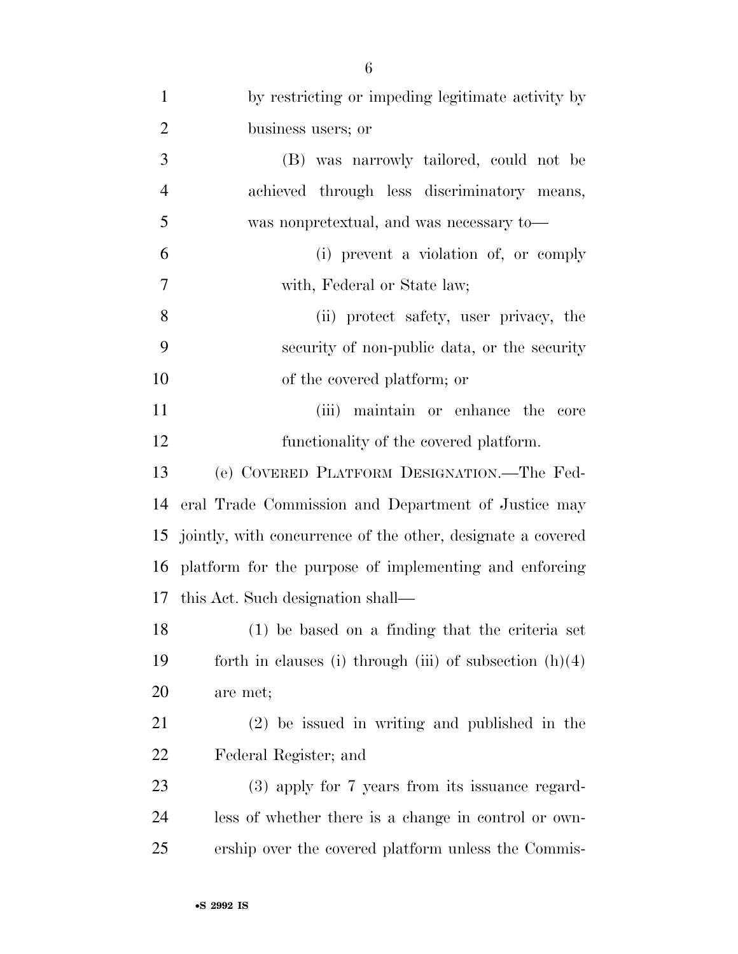| $\mathbf{1}$   | by restricting or impeding legitimate activity by           |
|----------------|-------------------------------------------------------------|
| $\overline{2}$ | business users; or                                          |
| 3              | (B) was narrowly tailored, could not be                     |
| $\overline{4}$ | achieved through less discriminatory means,                 |
| 5              | was nonpretextual, and was necessary to—                    |
| 6              | (i) prevent a violation of, or comply                       |
| $\tau$         | with, Federal or State law;                                 |
| 8              | (ii) protect safety, user privacy, the                      |
| 9              | security of non-public data, or the security                |
| 10             | of the covered platform; or                                 |
| 11             | (iii) maintain or enhance the core                          |
| 12             | functionality of the covered platform.                      |
| 13             | (e) COVERED PLATFORM DESIGNATION.—The Fed-                  |
| 14             | eral Trade Commission and Department of Justice may         |
| 15             | jointly, with concurrence of the other, designate a covered |
| 16             | platform for the purpose of implementing and enforcing      |
|                | 17 this Act. Such designation shall—                        |
| 18             | (1) be based on a finding that the criteria set             |
| 19             | forth in clauses (i) through (iii) of subsection $(h)(4)$   |
| 20             | are met;                                                    |
| 21             | $(2)$ be issued in writing and published in the             |
| 22             | Federal Register; and                                       |
| 23             | (3) apply for 7 years from its issuance regard-             |
| 24             | less of whether there is a change in control or own-        |
| 25             | ership over the covered platform unless the Commis-         |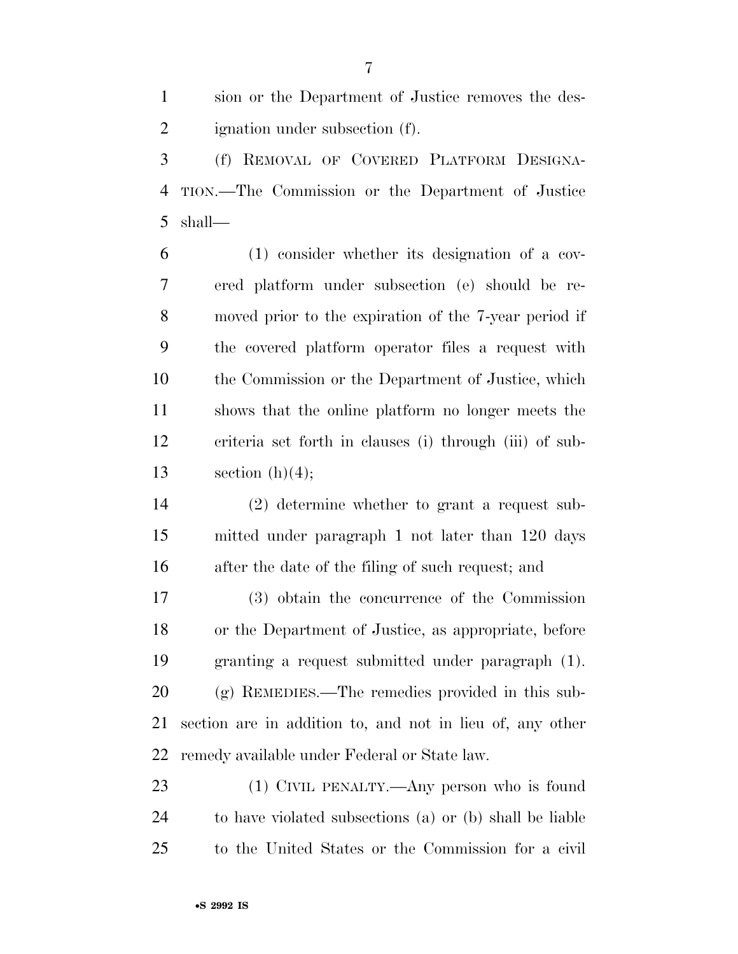sion or the Department of Justice removes the des-ignation under subsection (f).

 (f) REMOVAL OF COVERED PLATFORM DESIGNA- TION.—The Commission or the Department of Justice shall—

 (1) consider whether its designation of a cov- ered platform under subsection (e) should be re- moved prior to the expiration of the 7-year period if the covered platform operator files a request with the Commission or the Department of Justice, which shows that the online platform no longer meets the criteria set forth in clauses (i) through (iii) of sub-13 section  $(h)(4)$ ;

 (2) determine whether to grant a request sub- mitted under paragraph 1 not later than 120 days after the date of the filing of such request; and

 (3) obtain the concurrence of the Commission or the Department of Justice, as appropriate, before granting a request submitted under paragraph (1). (g) REMEDIES.—The remedies provided in this sub- section are in addition to, and not in lieu of, any other remedy available under Federal or State law.

 (1) CIVIL PENALTY.—Any person who is found to have violated subsections (a) or (b) shall be liable to the United States or the Commission for a civil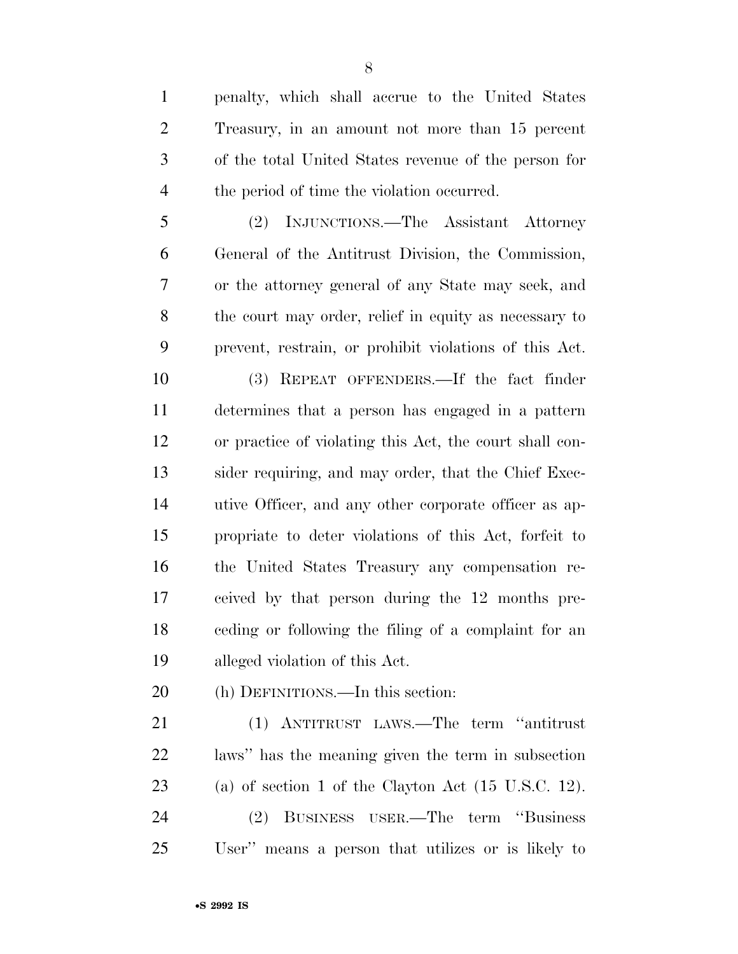penalty, which shall accrue to the United States Treasury, in an amount not more than 15 percent of the total United States revenue of the person for 4 the period of time the violation occurred.

 (2) INJUNCTIONS.—The Assistant Attorney General of the Antitrust Division, the Commission, or the attorney general of any State may seek, and the court may order, relief in equity as necessary to prevent, restrain, or prohibit violations of this Act.

 (3) REPEAT OFFENDERS.—If the fact finder determines that a person has engaged in a pattern or practice of violating this Act, the court shall con- sider requiring, and may order, that the Chief Exec- utive Officer, and any other corporate officer as ap- propriate to deter violations of this Act, forfeit to the United States Treasury any compensation re- ceived by that person during the 12 months pre- ceding or following the filing of a complaint for an alleged violation of this Act.

(h) DEFINITIONS.—In this section:

 (1) ANTITRUST LAWS.—The term ''antitrust laws'' has the meaning given the term in subsection (a) of section 1 of the Clayton Act (15 U.S.C. 12). (2) BUSINESS USER.—The term ''Business User'' means a person that utilizes or is likely to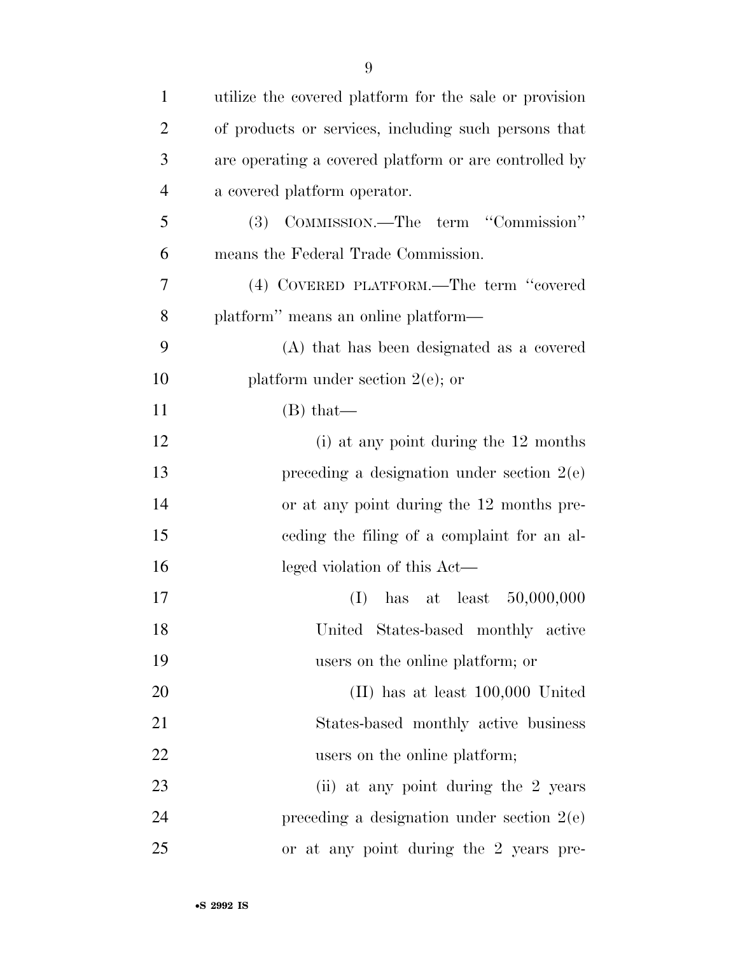| $\mathbf{1}$   | utilize the covered platform for the sale or provision |
|----------------|--------------------------------------------------------|
| $\overline{2}$ | of products or services, including such persons that   |
| 3              | are operating a covered platform or are controlled by  |
| $\overline{4}$ | a covered platform operator.                           |
| 5              | (3) COMMISSION.—The term "Commission"                  |
| 6              | means the Federal Trade Commission.                    |
| 7              | (4) COVERED PLATFORM.—The term "covered                |
| 8              | platform" means an online platform—                    |
| 9              | (A) that has been designated as a covered              |
| 10             | platform under section $2(e)$ ; or                     |
| 11             | $(B)$ that—                                            |
| 12             | (i) at any point during the 12 months                  |
| 13             | preceding a designation under section $2(e)$           |
| 14             | or at any point during the 12 months pre-              |
| 15             | eeding the filing of a complaint for an al-            |
| 16             | leged violation of this Act—                           |
| 17             | has at least $50,000,000$<br>(I)                       |
| 18             | United States-based monthly active                     |
| 19             | users on the online platform; or                       |
| 20             | $(II)$ has at least $100,000$ United                   |
| 21             | States-based monthly active business                   |
| 22             | users on the online platform;                          |
| 23             | (ii) at any point during the 2 years                   |
| 24             | preceding a designation under section $2(e)$           |
| 25             | or at any point during the 2 years pre-                |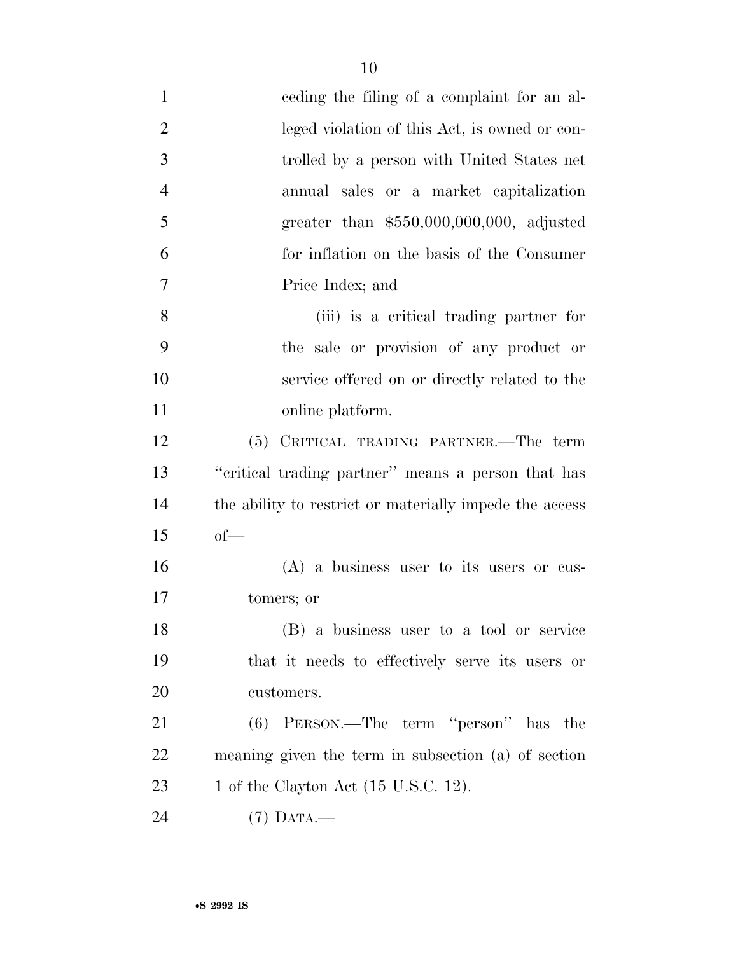| $\mathbf{1}$   | eeding the filing of a complaint for an al-             |
|----------------|---------------------------------------------------------|
| $\overline{2}$ | leged violation of this Act, is owned or con-           |
| 3              | trolled by a person with United States net              |
| $\overline{4}$ | annual sales or a market capitalization                 |
| 5              | greater than $$550,000,000,000$ , adjusted              |
| 6              | for inflation on the basis of the Consumer              |
| 7              | Price Index; and                                        |
| 8              | (iii) is a critical trading partner for                 |
| 9              | the sale or provision of any product or                 |
| 10             | service offered on or directly related to the           |
| 11             | online platform.                                        |
| 12             | (5) CRITICAL TRADING PARTNER.—The term                  |
| 13             | "critical trading partner" means a person that has      |
| 14             | the ability to restrict or materially impede the access |
| 15             | $of$ —                                                  |
| 16             | $(A)$ a business user to its users or cus-              |
| 17             | tomers; or                                              |
| 18             | (B) a business user to a tool or service                |
| 19             | that it needs to effectively serve its users or         |
| 20             | customers.                                              |
| 21             | $(6)$ PERSON.—The term "person" has the                 |
| 22             | meaning given the term in subsection (a) of section     |
| 23             | 1 of the Clayton Act (15 U.S.C. 12).                    |
| 24             | $(7)$ DATA.—                                            |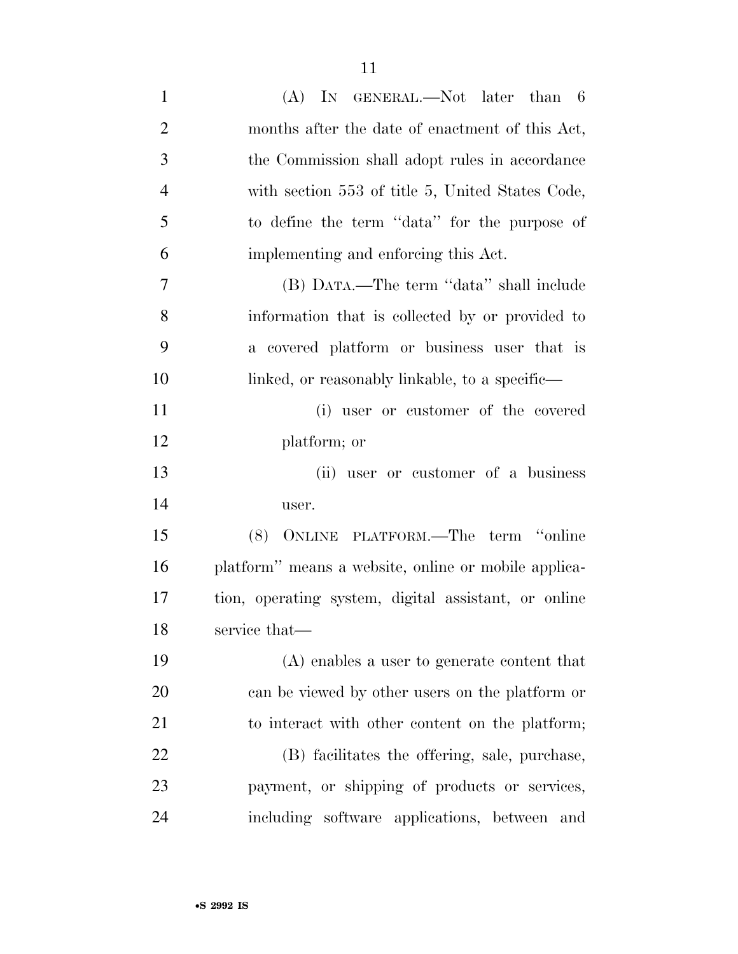| $\mathbf{1}$   | $(A)$ In GENERAL.—Not later than 6                   |
|----------------|------------------------------------------------------|
| $\overline{2}$ | months after the date of enactment of this Act,      |
| 3              | the Commission shall adopt rules in accordance       |
| $\overline{4}$ | with section 553 of title 5, United States Code,     |
| 5              | to define the term "data" for the purpose of         |
| 6              | implementing and enforcing this Act.                 |
| 7              | (B) DATA.—The term "data" shall include              |
| 8              | information that is collected by or provided to      |
| 9              | a covered platform or business user that is          |
| 10             | linked, or reasonably linkable, to a specific—       |
| 11             | (i) user or customer of the covered                  |
| 12             | platform; or                                         |
| 13             | (ii) user or customer of a business                  |
| 14             | user.                                                |
| 15             | (8) ONLINE PLATFORM.—The term "online                |
| 16             | platform" means a website, online or mobile applica- |
| 17             | tion, operating system, digital assistant, or online |
| 18             | service that—                                        |
| 19             | (A) enables a user to generate content that          |
| 20             | can be viewed by other users on the platform or      |
| 21             | to interact with other content on the platform;      |
| 22             | (B) facilitates the offering, sale, purchase,        |
| 23             | payment, or shipping of products or services,        |
| 24             | including software applications, between and         |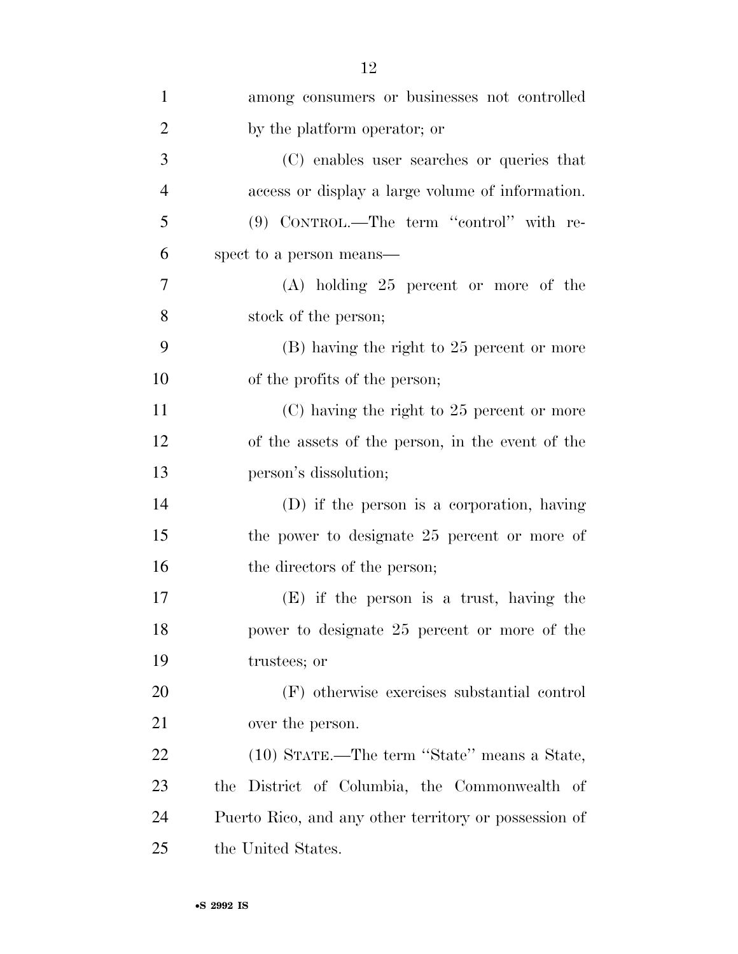| $\mathbf{1}$   | among consumers or businesses not controlled          |
|----------------|-------------------------------------------------------|
| $\overline{2}$ | by the platform operator; or                          |
| 3              | (C) enables user searches or queries that             |
| $\overline{4}$ | access or display a large volume of information.      |
| 5              | (9) CONTROL.—The term "control" with re-              |
| 6              | spect to a person means—                              |
| 7              | $(A)$ holding 25 percent or more of the               |
| 8              | stock of the person;                                  |
| 9              | (B) having the right to 25 percent or more            |
| 10             | of the profits of the person;                         |
| 11             | $(C)$ having the right to 25 percent or more          |
| 12             | of the assets of the person, in the event of the      |
| 13             | person's dissolution;                                 |
| 14             | (D) if the person is a corporation, having            |
| 15             | the power to designate 25 percent or more of          |
| 16             | the directors of the person;                          |
| 17             | $(E)$ if the person is a trust, having the            |
| 18             | power to designate 25 percent or more of the          |
| 19             | trustees; or                                          |
| 20             | (F) otherwise exercises substantial control           |
| 21             | over the person.                                      |
| 22             | (10) STATE.—The term "State" means a State,           |
| 23             | the District of Columbia, the Commonwealth of         |
| 24             | Puerto Rico, and any other territory or possession of |
| 25             | the United States.                                    |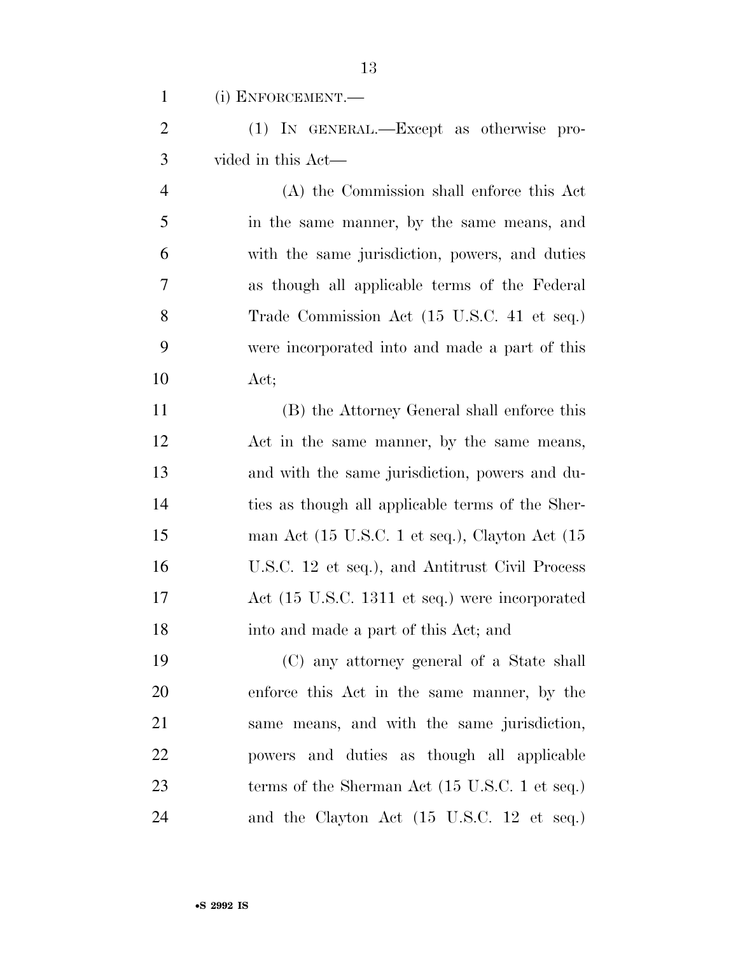(i) ENFORCEMENT.—

 (1) IN GENERAL.—Except as otherwise pro-vided in this Act—

 (A) the Commission shall enforce this Act in the same manner, by the same means, and with the same jurisdiction, powers, and duties as though all applicable terms of the Federal Trade Commission Act (15 U.S.C. 41 et seq.) were incorporated into and made a part of this Act;

 (B) the Attorney General shall enforce this Act in the same manner, by the same means, and with the same jurisdiction, powers and du- ties as though all applicable terms of the Sher-15 man Act (15 U.S.C. 1 et seq.), Clayton Act (15 U.S.C. 12 et seq.), and Antitrust Civil Process Act (15 U.S.C. 1311 et seq.) were incorporated into and made a part of this Act; and

 (C) any attorney general of a State shall enforce this Act in the same manner, by the same means, and with the same jurisdiction, powers and duties as though all applicable 23 terms of the Sherman Act (15 U.S.C. 1 et seq.) and the Clayton Act (15 U.S.C. 12 et seq.)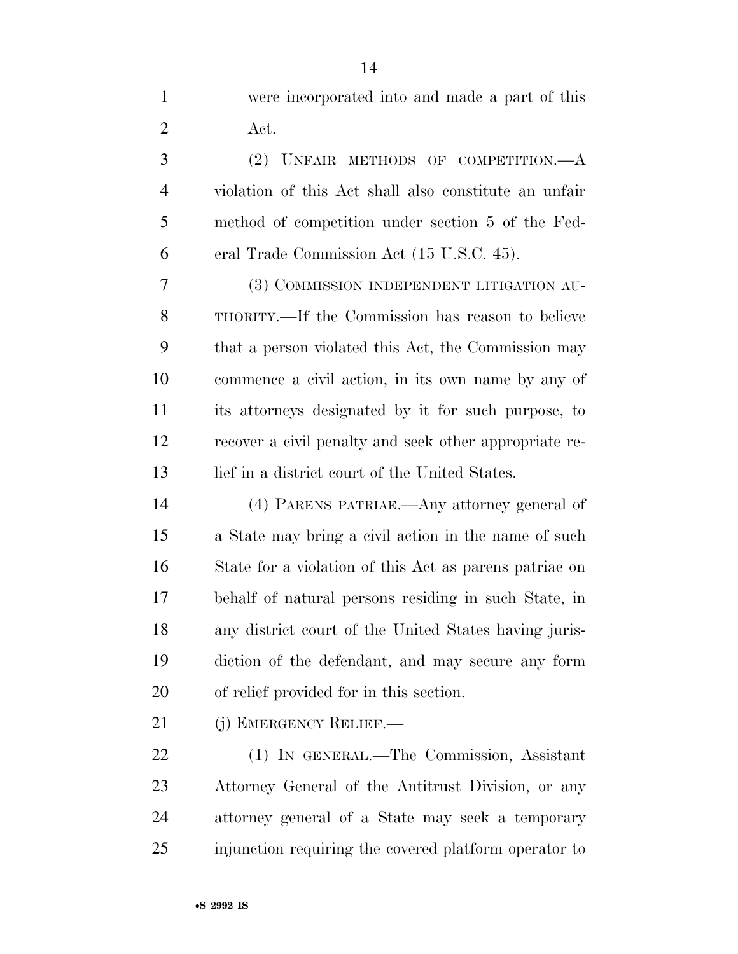were incorporated into and made a part of this Act. (2) UNFAIR METHODS OF COMPETITION.—A violation of this Act shall also constitute an unfair method of competition under section 5 of the Fed- eral Trade Commission Act (15 U.S.C. 45). (3) COMMISSION INDEPENDENT LITIGATION AU- THORITY.—If the Commission has reason to believe that a person violated this Act, the Commission may commence a civil action, in its own name by any of its attorneys designated by it for such purpose, to recover a civil penalty and seek other appropriate re- lief in a district court of the United States. (4) PARENS PATRIAE.—Any attorney general of

 a State may bring a civil action in the name of such State for a violation of this Act as parens patriae on behalf of natural persons residing in such State, in any district court of the United States having juris- diction of the defendant, and may secure any form of relief provided for in this section.

21 (j) EMERGENCY RELIEF.—

 (1) IN GENERAL.—The Commission, Assistant Attorney General of the Antitrust Division, or any attorney general of a State may seek a temporary injunction requiring the covered platform operator to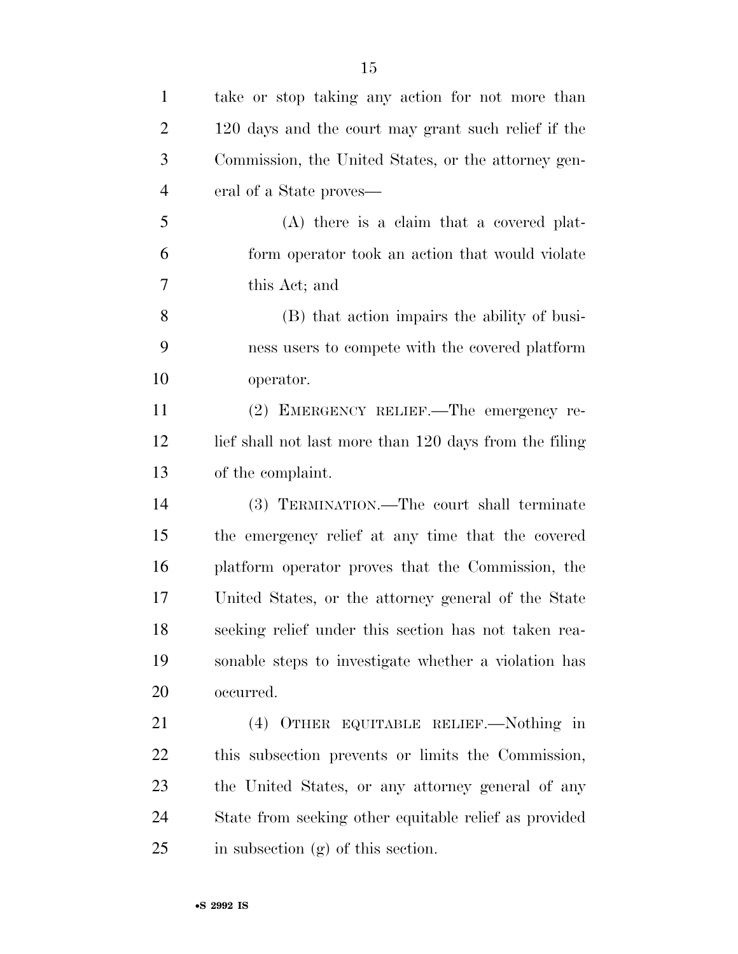| $\mathbf{1}$   | take or stop taking any action for not more than       |
|----------------|--------------------------------------------------------|
| $\overline{2}$ | 120 days and the court may grant such relief if the    |
| 3              | Commission, the United States, or the attorney gen-    |
| $\overline{4}$ | eral of a State proves—                                |
| 5              | (A) there is a claim that a covered plat-              |
| 6              | form operator took an action that would violate        |
| 7              | this Act; and                                          |
| 8              | (B) that action impairs the ability of busi-           |
| 9              | ness users to compete with the covered platform        |
| 10             | operator.                                              |
| 11             | (2) EMERGENCY RELIEF.—The emergency re-                |
| 12             | lief shall not last more than 120 days from the filing |
| 13             | of the complaint.                                      |
| 14             | (3) TERMINATION.—The court shall terminate             |
| 15             | the emergency relief at any time that the covered      |
| 16             | platform operator proves that the Commission, the      |
| 17             | United States, or the attorney general of the State    |
| 18             | seeking relief under this section has not taken rea-   |
| 19             | sonable steps to investigate whether a violation has   |
| 20             | occurred.                                              |
| 21             | (4) OTHER EQUITABLE RELIEF.—Nothing in                 |
| 22             | this subsection prevents or limits the Commission,     |
| 23             | the United States, or any attorney general of any      |
| 24             | State from seeking other equitable relief as provided  |
| 25             | in subsection (g) of this section.                     |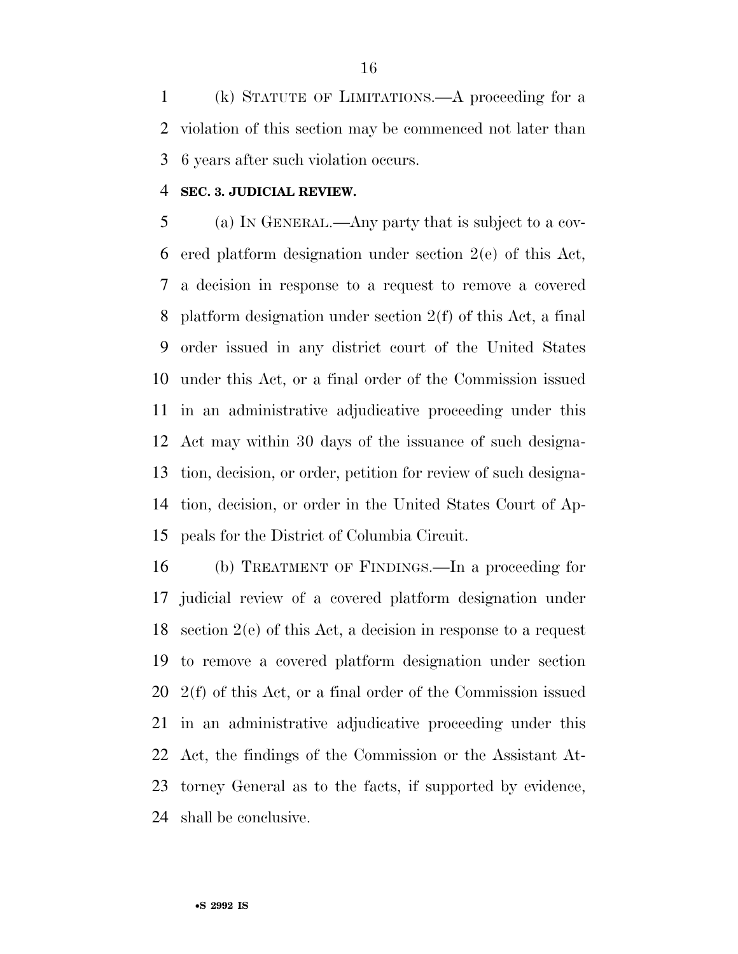(k) STATUTE OF LIMITATIONS.—A proceeding for a violation of this section may be commenced not later than 6 years after such violation occurs.

#### **SEC. 3. JUDICIAL REVIEW.**

 (a) IN GENERAL.—Any party that is subject to a cov- ered platform designation under section 2(e) of this Act, a decision in response to a request to remove a covered platform designation under section 2(f) of this Act, a final order issued in any district court of the United States under this Act, or a final order of the Commission issued in an administrative adjudicative proceeding under this Act may within 30 days of the issuance of such designa- tion, decision, or order, petition for review of such designa- tion, decision, or order in the United States Court of Ap-peals for the District of Columbia Circuit.

 (b) TREATMENT OF FINDINGS.—In a proceeding for judicial review of a covered platform designation under section 2(e) of this Act, a decision in response to a request to remove a covered platform designation under section 2(f) of this Act, or a final order of the Commission issued in an administrative adjudicative proceeding under this Act, the findings of the Commission or the Assistant At- torney General as to the facts, if supported by evidence, shall be conclusive.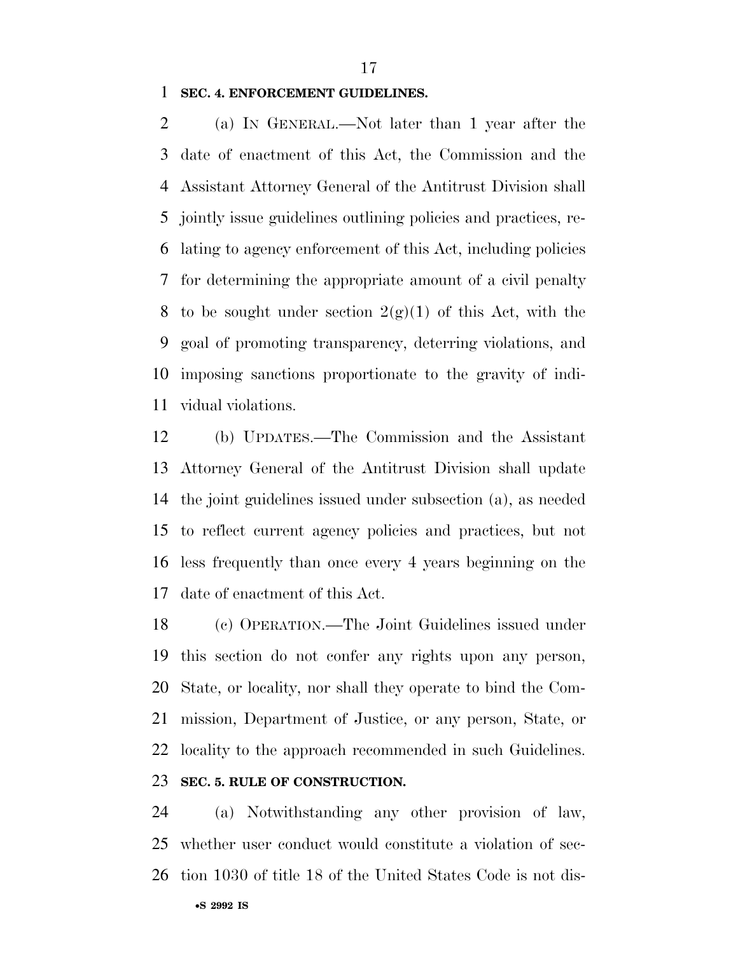**SEC. 4. ENFORCEMENT GUIDELINES.** 

 (a) IN GENERAL.—Not later than 1 year after the date of enactment of this Act, the Commission and the Assistant Attorney General of the Antitrust Division shall jointly issue guidelines outlining policies and practices, re- lating to agency enforcement of this Act, including policies for determining the appropriate amount of a civil penalty 8 to be sought under section  $2(g)(1)$  of this Act, with the goal of promoting transparency, deterring violations, and imposing sanctions proportionate to the gravity of indi-vidual violations.

 (b) UPDATES.—The Commission and the Assistant Attorney General of the Antitrust Division shall update the joint guidelines issued under subsection (a), as needed to reflect current agency policies and practices, but not less frequently than once every 4 years beginning on the date of enactment of this Act.

 (c) OPERATION.—The Joint Guidelines issued under this section do not confer any rights upon any person, State, or locality, nor shall they operate to bind the Com- mission, Department of Justice, or any person, State, or locality to the approach recommended in such Guidelines.

## **SEC. 5. RULE OF CONSTRUCTION.**

 (a) Notwithstanding any other provision of law, whether user conduct would constitute a violation of sec-tion 1030 of title 18 of the United States Code is not dis